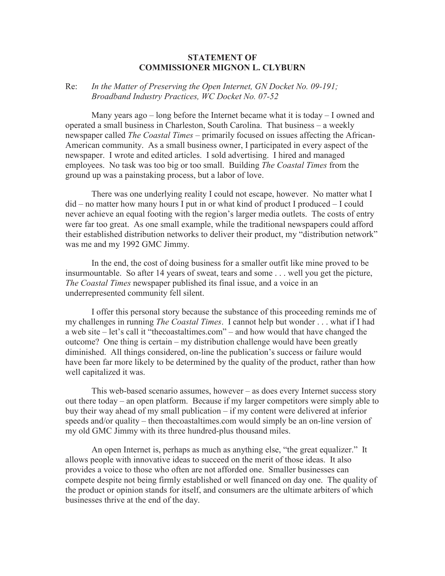## **STATEMENT OF COMMISSIONER MIGNON L. CLYBURN**

## Re: *In the Matter of Preserving the Open Internet, GN Docket No. 09-191; Broadband Industry Practices, WC Docket No. 07-52*

Many years ago – long before the Internet became what it is today – I owned and operated a small business in Charleston, South Carolina. That business – a weekly newspaper called *The Coastal Times* – primarily focused on issues affecting the African-American community. As a small business owner, I participated in every aspect of the newspaper. I wrote and edited articles. I sold advertising. I hired and managed employees. No task was too big or too small. Building *The Coastal Times* from the ground up was a painstaking process, but a labor of love.

There was one underlying reality I could not escape, however. No matter what I did – no matter how many hours I put in or what kind of product I produced – I could never achieve an equal footing with the region's larger media outlets. The costs of entry were far too great. As one small example, while the traditional newspapers could afford their established distribution networks to deliver their product, my "distribution network" was me and my 1992 GMC Jimmy.

In the end, the cost of doing business for a smaller outfit like mine proved to be insurmountable. So after 14 years of sweat, tears and some . . . well you get the picture, *The Coastal Times* newspaper published its final issue, and a voice in an underrepresented community fell silent.

I offer this personal story because the substance of this proceeding reminds me of my challenges in running *The Coastal Times*. I cannot help but wonder . . . what if I had a web site – let's call it "thecoastaltimes.com" – and how would that have changed the outcome? One thing is certain – my distribution challenge would have been greatly diminished. All things considered, on-line the publication's success or failure would have been far more likely to be determined by the quality of the product, rather than how well capitalized it was.

This web-based scenario assumes, however – as does every Internet success story out there today – an open platform. Because if my larger competitors were simply able to buy their way ahead of my small publication – if my content were delivered at inferior speeds and/or quality – then thecoastaltimes.com would simply be an on-line version of my old GMC Jimmy with its three hundred-plus thousand miles.

An open Internet is, perhaps as much as anything else, "the great equalizer." It allows people with innovative ideas to succeed on the merit of those ideas. It also provides a voice to those who often are not afforded one. Smaller businesses can compete despite not being firmly established or well financed on day one. The quality of the product or opinion stands for itself, and consumers are the ultimate arbiters of which businesses thrive at the end of the day.